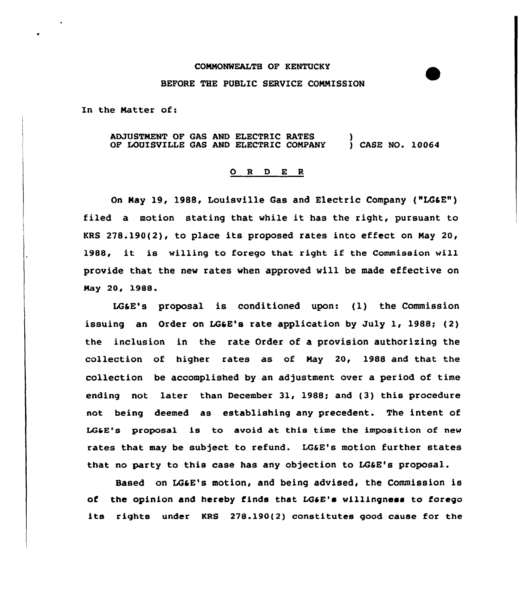## COMMONWEALTH OF KENTUCKY

## BEFORE THE PUBLIC SERVICE CONMISSION

In the Matter of:

ADJUSTMENT OF GAS AND ELECTRIC RATES (and the case in the LOUISVILLE GAS AND ELECTRIC COMPANY (ASSEMPLE 20064) OF LOUISVILLE GAS AND ELECTRIC COMPANY

## 0 <sup>R</sup> <sup>D</sup> E <sup>R</sup>

On May 19, 1988, Louisville Gas and Electric Company ("LGaE") filed a motion stating that while it has the right, pursuant to KRS 278.190(2), to place its proposed rates into effect on Nay 20, 1988, it is willing to forego that right if the Commission will provide that the new rates when approved will be made effective on Nay 20, 1988.

LGaE's proposal is conditioned upon: (1) the Commission issuing an Order on LG&E's rate application by July 1, 1988; (2) the inclusion in the rate Order of a provision authorizing the collection of higher rates as of Nay 20, 1988 and that the collection be accomplished by an adjustment over a period of time ending not later than December 31, 1988; and (3) this procedure not being deemed as establishing any precedent. The intent of LGGE's proposal is to avoid at this time the imposition of new rates that may be subject to refund. LG&E's motion further states that no party to this case has any objection to LG&E's proposal.

Based on LGaE's motion, and being advised, the Commission is of the opinion and hereby finds that LG&E's willingness to forego its rights under KRS 278.190(2) constitutes good cause for the